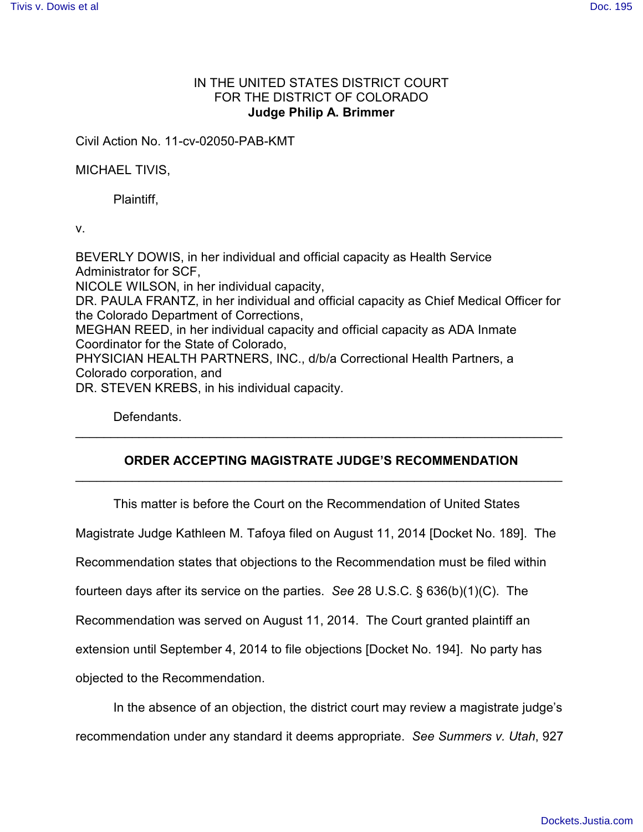## IN THE UNITED STATES DISTRICT COURT FOR THE DISTRICT OF COLORADO **Judge Philip A. Brimmer**

Civil Action No. 11-cv-02050-PAB-KMT

MICHAEL TIVIS,

Plaintiff,

v.

BEVERLY DOWIS, in her individual and official capacity as Health Service Administrator for SCF, NICOLE WILSON, in her individual capacity, DR. PAULA FRANTZ, in her individual and official capacity as Chief Medical Officer for the Colorado Department of Corrections, MEGHAN REED, in her individual capacity and official capacity as ADA Inmate Coordinator for the State of Colorado, PHYSICIAN HEALTH PARTNERS, INC., d/b/a Correctional Health Partners, a Colorado corporation, and DR. STEVEN KREBS, in his individual capacity.

Defendants.

## **ORDER ACCEPTING MAGISTRATE JUDGE'S RECOMMENDATION** \_\_\_\_\_\_\_\_\_\_\_\_\_\_\_\_\_\_\_\_\_\_\_\_\_\_\_\_\_\_\_\_\_\_\_\_\_\_\_\_\_\_\_\_\_\_\_\_\_\_\_\_\_\_\_\_\_\_\_\_\_\_\_\_\_\_\_\_\_

\_\_\_\_\_\_\_\_\_\_\_\_\_\_\_\_\_\_\_\_\_\_\_\_\_\_\_\_\_\_\_\_\_\_\_\_\_\_\_\_\_\_\_\_\_\_\_\_\_\_\_\_\_\_\_\_\_\_\_\_\_\_\_\_\_\_\_\_\_

This matter is before the Court on the Recommendation of United States

Magistrate Judge Kathleen M. Tafoya filed on August 11, 2014 [Docket No. 189]. The

Recommendation states that objections to the Recommendation must be filed within

fourteen days after its service on the parties. *See* 28 U.S.C. § 636(b)(1)(C). The

Recommendation was served on August 11, 2014. The Court granted plaintiff an

extension until September 4, 2014 to file objections [Docket No. 194]. No party has

objected to the Recommendation.

In the absence of an objection, the district court may review a magistrate judge's recommendation under any standard it deems appropriate. *See Summers v. Utah*, 927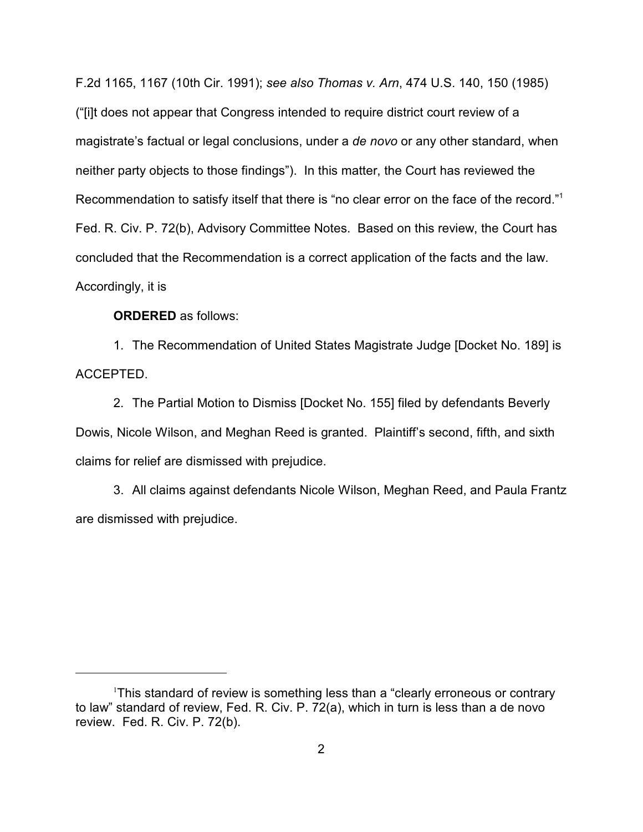F.2d 1165, 1167 (10th Cir. 1991); *see also Thomas v. Arn*, 474 U.S. 140, 150 (1985) ("[i]t does not appear that Congress intended to require district court review of a magistrate's factual or legal conclusions, under a *de novo* or any other standard, when neither party objects to those findings"). In this matter, the Court has reviewed the Recommendation to satisfy itself that there is "no clear error on the face of the record."<sup>1</sup> Fed. R. Civ. P. 72(b), Advisory Committee Notes. Based on this review, the Court has concluded that the Recommendation is a correct application of the facts and the law. Accordingly, it is

**ORDERED** as follows:

1. The Recommendation of United States Magistrate Judge [Docket No. 189] is ACCEPTED.

2. The Partial Motion to Dismiss [Docket No. 155] filed by defendants Beverly Dowis, Nicole Wilson, and Meghan Reed is granted. Plaintiff's second, fifth, and sixth claims for relief are dismissed with prejudice.

3. All claims against defendants Nicole Wilson, Meghan Reed, and Paula Frantz are dismissed with prejudice.

<sup>&</sup>lt;sup>1</sup>This standard of review is something less than a "clearly erroneous or contrary to law" standard of review, Fed. R. Civ. P. 72(a), which in turn is less than a de novo review. Fed. R. Civ. P. 72(b).